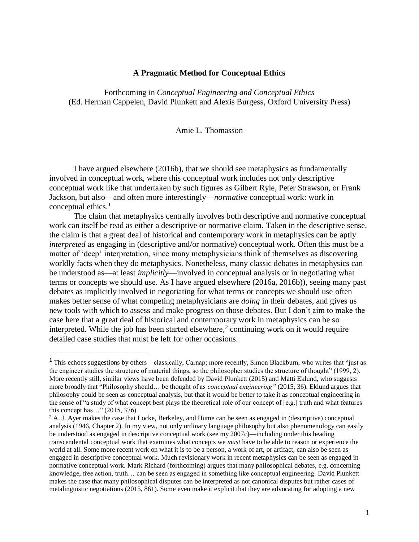# **A Pragmatic Method for Conceptual Ethics**

Forthcoming in *Conceptual Engineering and Conceptual Ethics* (Ed. Herman Cappelen, David Plunkett and Alexis Burgess, Oxford University Press)

### Amie L. Thomasson

I have argued elsewhere (2016b), that we should see metaphysics as fundamentally involved in conceptual work, where this conceptual work includes not only descriptive conceptual work like that undertaken by such figures as Gilbert Ryle, Peter Strawson, or Frank Jackson, but also—and often more interestingly—*normative* conceptual work: work in conceptual ethics. 1

The claim that metaphysics centrally involves both descriptive and normative conceptual work can itself be read as either a descriptive or normative claim. Taken in the descriptive sense, the claim is that a great deal of historical and contemporary work in metaphysics can be aptly *interpreted* as engaging in (descriptive and/or normative) conceptual work. Often this must be a matter of 'deep' interpretation, since many metaphysicians think of themselves as discovering worldly facts when they do metaphysics. Nonetheless, many classic debates in metaphysics can be understood as—at least *implicitly*—involved in conceptual analysis or in negotiating what terms or concepts we should use. As I have argued elsewhere (2016a, 2016b)), seeing many past debates as implicitly involved in negotiating for what terms or concepts we should use often makes better sense of what competing metaphysicians are *doing* in their debates, and gives us new tools with which to assess and make progress on those debates. But I don't aim to make the case here that a great deal of historical and contemporary work in metaphysics can be so interpreted. While the job has been started elsewhere,<sup>2</sup> continuing work on it would require detailed case studies that must be left for other occasions.

 $\overline{\phantom{a}}$ 

<sup>2</sup> A. J. Ayer makes the case that Locke, Berkeley, and Hume can be seen as engaged in (descriptive) conceptual analysis (1946, Chapter 2). In my view, not only ordinary language philosophy but also phenomenology can easily be understood as engaged in descriptive conceptual work (see my 2007c)—including under this heading transcendental conceptual work that examines what concepts we *must* have to be able to reason or experience the world at all. Some more recent work on what it is to be a person, a work of art, or artifact, can also be seen as engaged in descriptive conceptual work. Much revisionary work in recent metaphysics can be seen as engaged in normative conceptual work. Mark Richard (forthcoming) argues that many philosophical debates, e.g. concerning knowledge, free action, truth… can be seen as engaged in something like conceptual engineering. David Plunkett makes the case that many philosophical disputes can be interpreted as not canonical disputes but rather cases of metalinguistic negotiations (2015, 861). Some even make it explicit that they are advocating for adopting a new

<sup>&</sup>lt;sup>1</sup> This echoes suggestions by others—classically, Carnap; more recently, Simon Blackburn, who writes that "just as the engineer studies the structure of material things, so the philosopher studies the structure of thought" (1999, 2). More recently still, similar views have been defended by David Plunkett (2015) and Matti Eklund, who suggests more broadly that "Philosophy should… be thought of as *conceptual engineering"* (2015, 36). Eklund argues that philosophy could be seen as conceptual analysis, but that it would be better to take it as conceptual engineering in the sense of "a study of what concept best plays the theoretical role of our concept of [e.g.] truth and what features this concept has…" (2015, 376).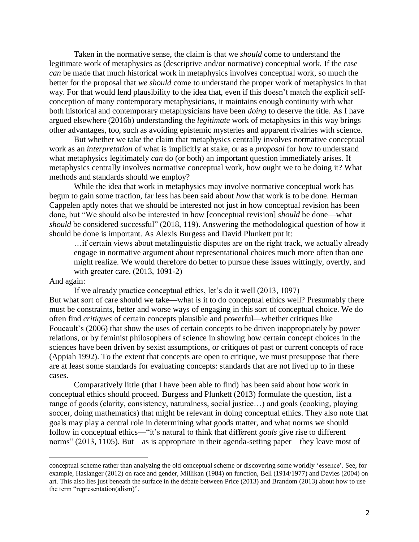Taken in the normative sense, the claim is that we *should* come to understand the legitimate work of metaphysics as (descriptive and/or normative) conceptual work. If the case *can* be made that much historical work in metaphysics involves conceptual work, so much the better for the proposal that *we should* come to understand the proper work of metaphysics in that way. For that would lend plausibility to the idea that, even if this doesn't match the explicit selfconception of many contemporary metaphysicians, it maintains enough continuity with what both historical and contemporary metaphysicians have been *doing* to deserve the title. As I have argued elsewhere (2016b) understanding the *legitimate* work of metaphysics in this way brings other advantages, too, such as avoiding epistemic mysteries and apparent rivalries with science.

But whether we take the claim that metaphysics centrally involves normative conceptual work as an *interpretation* of what is implicitly at stake, or as a *proposal* for how to understand what metaphysics legitimately *can* do (or both) an important question immediately arises. If metaphysics centrally involves normative conceptual work, how ought we to be doing it? What methods and standards should we employ?

While the idea that work in metaphysics may involve normative conceptual work has begun to gain some traction, far less has been said about *how* that work is to be done. Herman Cappelen aptly notes that we should be interested not just in how conceptual revision has been done, but "We should also be interested in how [conceptual revision] *should* be done—what *should* be considered successful" (2018, 119). Answering the methodological question of how it should be done is important. As Alexis Burgess and David Plunkett put it:

…if certain views about metalinguistic disputes are on the right track, we actually already engage in normative argument about representational choices much more often than one might realize. We would therefore do better to pursue these issues wittingly, overtly, and with greater care. (2013, 1091-2)

### And again:

 $\overline{\phantom{a}}$ 

If we already practice conceptual ethics, let's do it well (2013, 1097) But what sort of care should we take—what is it to do conceptual ethics well? Presumably there must be constraints, better and worse ways of engaging in this sort of conceptual choice. We do often find *critiques* of certain concepts plausible and powerful—whether critiques like Foucault's (2006) that show the uses of certain concepts to be driven inappropriately by power relations, or by feminist philosophers of science in showing how certain concept choices in the sciences have been driven by sexist assumptions, or critiques of past or current concepts of race (Appiah 1992). To the extent that concepts are open to critique, we must presuppose that there are at least some standards for evaluating concepts: standards that are not lived up to in these cases.

Comparatively little (that I have been able to find) has been said about how work in conceptual ethics should proceed. Burgess and Plunkett (2013) formulate the question, list a range of goods (clarity, consistency, naturalness, social justice…) and goals (cooking, playing soccer, doing mathematics) that might be relevant in doing conceptual ethics. They also note that goals may play a central role in determining what goods matter, and what norms we should follow in conceptual ethics—"it's natural to think that different *goals* give rise to different norms" (2013, 1105). But—as is appropriate in their agenda-setting paper—they leave most of

conceptual scheme rather than analyzing the old conceptual scheme or discovering some worldly 'essence'. See, for example, Haslanger (2012) on race and gender, Millikan (1984) on function, Bell (1914/1977) and Davies (2004) on art. This also lies just beneath the surface in the debate between Price (2013) and Brandom (2013) about how to use the term "representation(alism)".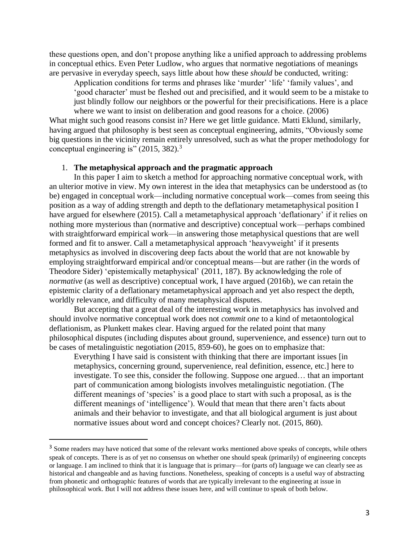these questions open, and don't propose anything like a unified approach to addressing problems in conceptual ethics. Even Peter Ludlow, who argues that normative negotiations of meanings are pervasive in everyday speech, says little about how these *should* be conducted, writing:

Application conditions for terms and phrases like 'murder' 'life' 'family values', and 'good character' must be fleshed out and precisified, and it would seem to be a mistake to just blindly follow our neighbors or the powerful for their precisifications. Here is a place where we want to insist on deliberation and good reasons for a choice. (2006)

What might such good reasons consist in? Here we get little guidance. Matti Eklund, similarly, having argued that philosophy is best seen as conceptual engineering, admits, "Obviously some big questions in the vicinity remain entirely unresolved, such as what the proper methodology for conceptual engineering is" (2015, 382).<sup>3</sup>

# 1. **The metaphysical approach and the pragmatic approach**

In this paper I aim to sketch a method for approaching normative conceptual work, with an ulterior motive in view. My own interest in the idea that metaphysics can be understood as (to be) engaged in conceptual work—including normative conceptual work—comes from seeing this position as a way of adding strength and depth to the deflationary metametaphysical position I have argued for elsewhere (2015). Call a metametaphysical approach 'deflationary' if it relies on nothing more mysterious than (normative and descriptive) conceptual work—perhaps combined with straightforward empirical work—in answering those metaphysical questions that are well formed and fit to answer. Call a metametaphysical approach 'heavyweight' if it presents metaphysics as involved in discovering deep facts about the world that are not knowable by employing straightforward empirical and/or conceptual means—but are rather (in the words of Theodore Sider) 'epistemically metaphysical' (2011, 187). By acknowledging the role of *normative* (as well as descriptive) conceptual work, I have argued (2016b), we can retain the epistemic clarity of a deflationary metametaphysical approach and yet also respect the depth, worldly relevance, and difficulty of many metaphysical disputes.

But accepting that a great deal of the interesting work in metaphysics has involved and should involve normative conceptual work does not *commit one* to a kind of metaontological deflationism, as Plunkett makes clear. Having argued for the related point that many philosophical disputes (including disputes about ground, supervenience, and essence) turn out to be cases of metalinguistic negotiation (2015, 859-60), he goes on to emphasize that:

Everything I have said is consistent with thinking that there are important issues [in metaphysics, concerning ground, supervenience, real definition, essence, etc.] here to investigate. To see this, consider the following. Suppose one argued… that an important part of communication among biologists involves metalinguistic negotiation. (The different meanings of 'species' is a good place to start with such a proposal, as is the different meanings of 'intelligence'). Would that mean that there aren't facts about animals and their behavior to investigate, and that all biological argument is just about normative issues about word and concept choices? Clearly not. (2015, 860).

<sup>&</sup>lt;sup>3</sup> Some readers may have noticed that some of the relevant works mentioned above speaks of concepts, while others speak of concepts. There is as of yet no consensus on whether one should speak (primarily) of engineering concepts or language. I am inclined to think that it is language that is primary—for (parts of) language we can clearly see as historical and changeable and as having functions. Nonetheless, speaking of concepts is a useful way of abstracting from phonetic and orthographic features of words that are typically irrelevant to the engineering at issue in philosophical work. But I will not address these issues here, and will continue to speak of both below.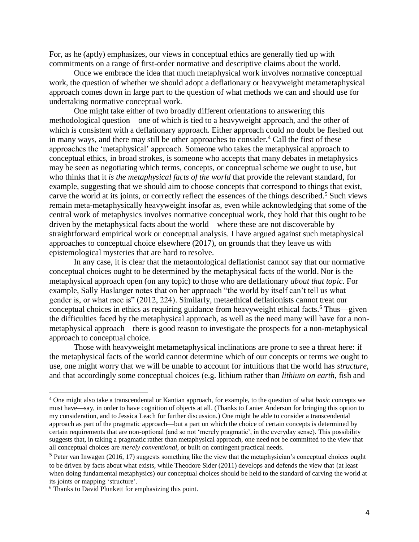For, as he (aptly) emphasizes, our views in conceptual ethics are generally tied up with commitments on a range of first-order normative and descriptive claims about the world.

Once we embrace the idea that much metaphysical work involves normative conceptual work, the question of whether we should adopt a deflationary or heavyweight metametaphysical approach comes down in large part to the question of what methods we can and should use for undertaking normative conceptual work.

One might take either of two broadly different orientations to answering this methodological question—one of which is tied to a heavyweight approach, and the other of which is consistent with a deflationary approach. Either approach could no doubt be fleshed out in many ways, and there may still be other approaches to consider.<sup>4</sup> Call the first of these approaches the 'metaphysical' approach. Someone who takes the metaphysical approach to conceptual ethics, in broad strokes, is someone who accepts that many debates in metaphysics may be seen as negotiating which terms, concepts, or conceptual scheme we ought to use, but who thinks that it *is the metaphysical facts of the world* that provide the relevant standard, for example, suggesting that we should aim to choose concepts that correspond to things that exist, carve the world at its joints, or correctly reflect the essences of the things described.<sup>5</sup> Such views remain meta-metaphysically heavyweight insofar as, even while acknowledging that some of the central work of metaphysics involves normative conceptual work, they hold that this ought to be driven by the metaphysical facts about the world—where these are not discoverable by straightforward empirical work or conceptual analysis. I have argued against such metaphysical approaches to conceptual choice elsewhere (2017), on grounds that they leave us with epistemological mysteries that are hard to resolve.

In any case, it is clear that the metaontological deflationist cannot say that our normative conceptual choices ought to be determined by the metaphysical facts of the world. Nor is the metaphysical approach open (on any topic) to those who are deflationary *about that topic*. For example, Sally Haslanger notes that on her approach "the world by itself can't tell us what gender is, or what race is" (2012, 224). Similarly, metaethical deflationists cannot treat our conceptual choices in ethics as requiring guidance from heavyweight ethical facts. <sup>6</sup> Thus—given the difficulties faced by the metaphysical approach, as well as the need many will have for a nonmetaphysical approach—there is good reason to investigate the prospects for a non-metaphysical approach to conceptual choice.

Those with heavyweight metametaphysical inclinations are prone to see a threat here: if the metaphysical facts of the world cannot determine which of our concepts or terms we ought to use, one might worry that we will be unable to account for intuitions that the world has *structure*, and that accordingly some conceptual choices (e.g. lithium rather than *lithium on earth,* fish and

<sup>4</sup> One might also take a transcendental or Kantian approach, for example, to the question of what *basic* concepts we must have—say, in order to have cognition of objects at all. (Thanks to Lanier Anderson for bringing this option to my consideration, and to Jessica Leach for further discussion.) One might be able to consider a transcendental approach as part of the pragmatic approach—but a part on which the choice of certain concepts is determined by certain requirements that are non-optional (and so not 'merely pragmatic', in the everyday sense). This possibility suggests that, in taking a pragmatic rather than metaphysical approach, one need not be committed to the view that all conceptual choices are *merely conventional*, or built on contingent practical needs.

<sup>&</sup>lt;sup>5</sup> Peter van Inwagen (2016, 17) suggests something like the view that the metaphysician's conceptual choices ought to be driven by facts about what exists, while Theodore Sider (2011) develops and defends the view that (at least when doing fundamental metaphysics) our conceptual choices should be held to the standard of carving the world at its joints or mapping 'structure'.

<sup>6</sup> Thanks to David Plunkett for emphasizing this point.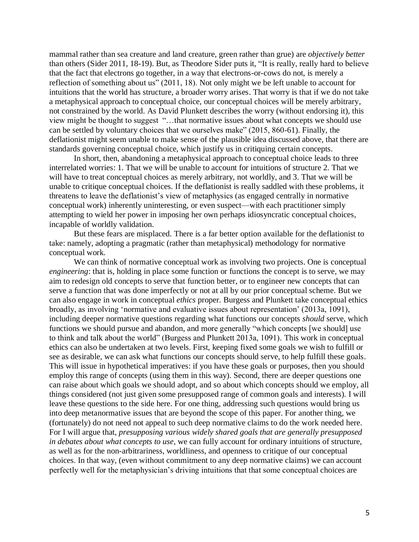mammal rather than sea creature and land creature, green rather than grue) are *objectively better* than others (Sider 2011, 18-19). But, as Theodore Sider puts it, "It is really, really hard to believe that the fact that electrons go together, in a way that electrons-or-cows do not, is merely a reflection of something about us" (2011, 18). Not only might we be left unable to account for intuitions that the world has structure, a broader worry arises. That worry is that if we do not take a metaphysical approach to conceptual choice, our conceptual choices will be merely arbitrary, not constrained by the world. As David Plunkett describes the worry (without endorsing it), this view might be thought to suggest "…that normative issues about what concepts we should use can be settled by voluntary choices that we ourselves make" (2015, 860-61). Finally, the deflationist might seem unable to make sense of the plausible idea discussed above, that there are standards governing conceptual choice, which justify us in critiquing certain concepts.

In short, then, abandoning a metaphysical approach to conceptual choice leads to three interrelated worries: 1. That we will be unable to account for intuitions of structure 2. That we will have to treat conceptual choices as merely arbitrary, not worldly, and 3. That we will be unable to critique conceptual choices. If the deflationist is really saddled with these problems, it threatens to leave the deflationist's view of metaphysics (as engaged centrally in normative conceptual work) inherently uninteresting, or even suspect—with each practitioner simply attempting to wield her power in imposing her own perhaps idiosyncratic conceptual choices, incapable of worldly validation.

But these fears are misplaced. There is a far better option available for the deflationist to take: namely, adopting a pragmatic (rather than metaphysical) methodology for normative conceptual work.

We can think of normative conceptual work as involving two projects. One is conceptual *engineering*: that is, holding in place some function or functions the concept is to serve, we may aim to redesign old concepts to serve that function better, or to engineer new concepts that can serve a function that was done imperfectly or not at all by our prior conceptual scheme. But we can also engage in work in conceptual *ethics* proper. Burgess and Plunkett take conceptual ethics broadly, as involving 'normative and evaluative issues about representation' (2013a, 1091), including deeper normative questions regarding what functions our concepts *should* serve, which functions we should pursue and abandon, and more generally "which concepts [we should] use to think and talk about the world" (Burgess and Plunkett 2013a, 1091). This work in conceptual ethics can also be undertaken at two levels. First, keeping fixed some goals we wish to fulfill or see as desirable, we can ask what functions our concepts should serve, to help fulfill these goals. This will issue in hypothetical imperatives: if you have these goals or purposes, then you should employ this range of concepts (using them in this way). Second, there are deeper questions one can raise about which goals we should adopt, and so about which concepts should we employ, all things considered (not just given some presupposed range of common goals and interests)*.* I will leave these questions to the side here. For one thing, addressing such questions would bring us into deep metanormative issues that are beyond the scope of this paper. For another thing, we (fortunately) do not need not appeal to such deep normative claims to do the work needed here. For I will argue that, *presupposing various widely shared goals that are generally presupposed in debates about what concepts to use*, we can fully account for ordinary intuitions of structure, as well as for the non-arbitrariness, worldliness, and openness to critique of our conceptual choices. In that way, (even without commitment to any deep normative claims) we can account perfectly well for the metaphysician's driving intuitions that that some conceptual choices are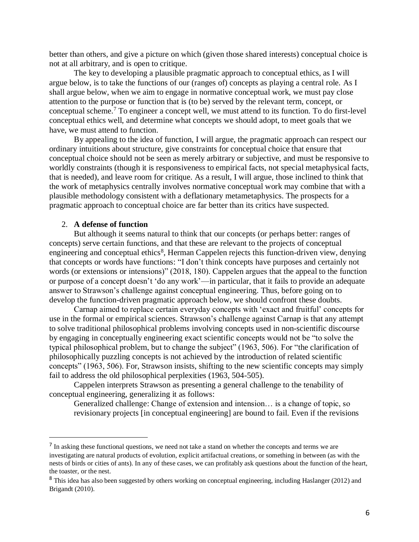better than others, and give a picture on which (given those shared interests) conceptual choice is not at all arbitrary, and is open to critique.

The key to developing a plausible pragmatic approach to conceptual ethics, as I will argue below, is to take the functions of our (ranges of) concepts as playing a central role. As I shall argue below, when we aim to engage in normative conceptual work, we must pay close attention to the purpose or function that is (to be) served by the relevant term, concept, or conceptual scheme.<sup>7</sup> To engineer a concept well, we must attend to its function. To do first-level conceptual ethics well, and determine what concepts we should adopt, to meet goals that we have, we must attend to function.

By appealing to the idea of function, I will argue, the pragmatic approach can respect our ordinary intuitions about structure, give constraints for conceptual choice that ensure that conceptual choice should not be seen as merely arbitrary or subjective, and must be responsive to worldly constraints (though it is responsiveness to empirical facts, not special metaphysical facts, that is needed), and leave room for critique. As a result, I will argue, those inclined to think that the work of metaphysics centrally involves normative conceptual work may combine that with a plausible methodology consistent with a deflationary metametaphysics. The prospects for a pragmatic approach to conceptual choice are far better than its critics have suspected.

# 2. **A defense of function**

 $\overline{\phantom{a}}$ 

But although it seems natural to think that our concepts (or perhaps better: ranges of concepts) serve certain functions, and that these are relevant to the projects of conceptual engineering and conceptual ethics<sup>8</sup>, Herman Cappelen rejects this function-driven view, denying that concepts or words have functions: "I don't think concepts have purposes and certainly not words (or extensions or intensions)" (2018, 180). Cappelen argues that the appeal to the function or purpose of a concept doesn't 'do any work'—in particular, that it fails to provide an adequate answer to Strawson's challenge against conceptual engineering. Thus, before going on to develop the function-driven pragmatic approach below, we should confront these doubts.

Carnap aimed to replace certain everyday concepts with 'exact and fruitful' concepts for use in the formal or empirical sciences. Strawson's challenge against Carnap is that any attempt to solve traditional philosophical problems involving concepts used in non-scientific discourse by engaging in conceptually engineering exact scientific concepts would not be "to solve the typical philosophical problem, but to change the subject" (1963, 506). For "the clarification of philosophically puzzling concepts is not achieved by the introduction of related scientific concepts" (1963, 506). For, Strawson insists, shifting to the new scientific concepts may simply fail to address the old philosophical perplexities (1963, 504-505).

Cappelen interprets Strawson as presenting a general challenge to the tenability of conceptual engineering, generalizing it as follows:

Generalized challenge: Change of extension and intension… is a change of topic, so revisionary projects [in conceptual engineering] are bound to fail. Even if the revisions

 $<sup>7</sup>$  In asking these functional questions, we need not take a stand on whether the concepts and terms we are</sup> investigating are natural products of evolution, explicit artifactual creations, or something in between (as with the nests of birds or cities of ants). In any of these cases, we can profitably ask questions about the function of the heart, the toaster, or the nest.

<sup>8</sup> This idea has also been suggested by others working on conceptual engineering, including Haslanger (2012) and Brigandt (2010).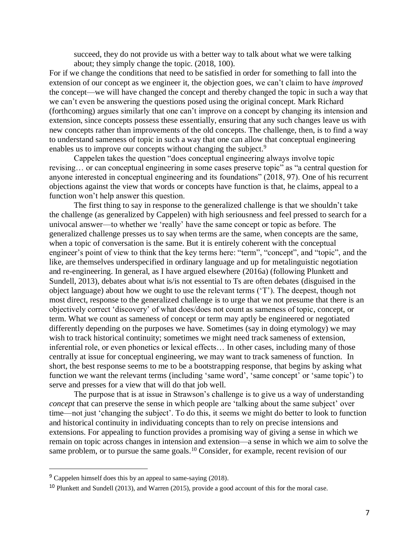succeed, they do not provide us with a better way to talk about what we were talking about; they simply change the topic. (2018, 100).

For if we change the conditions that need to be satisfied in order for something to fall into the extension of our concept as we engineer it, the objection goes, we can't claim to have *improved*  the concept—we will have changed the concept and thereby changed the topic in such a way that we can't even be answering the questions posed using the original concept. Mark Richard (forthcoming) argues similarly that one can't improve on a concept by changing its intension and extension, since concepts possess these essentially, ensuring that any such changes leave us with new concepts rather than improvements of the old concepts. The challenge, then, is to find a way to understand sameness of topic in such a way that one can allow that conceptual engineering enables us to improve our concepts without changing the subject.<sup>9</sup>

Cappelen takes the question "does conceptual engineering always involve topic revising… or can conceptual engineering in some cases preserve topic" as "a central question for anyone interested in conceptual engineering and its foundations" (2018, 97). One of his recurrent objections against the view that words or concepts have function is that, he claims, appeal to a function won't help answer this question.

The first thing to say in response to the generalized challenge is that we shouldn't take the challenge (as generalized by Cappelen) with high seriousness and feel pressed to search for a univocal answer—to whether we 'really' have the same concept or topic as before. The generalized challenge presses us to say when terms are the same, when concepts are the same, when a topic of conversation is the same. But it is entirely coherent with the conceptual engineer's point of view to think that the key terms here: "term", "concept", and "topic", and the like, are themselves underspecified in ordinary language and up for metalinguistic negotiation and re-engineering. In general, as I have argued elsewhere (2016a) (following Plunkett and Sundell, 2013), debates about what is/is not essential to Ts are often debates (disguised in the object language) about how we ought to use the relevant terms ('T'). The deepest, though not most direct, response to the generalized challenge is to urge that we not presume that there is an objectively correct 'discovery' of what does/does not count as sameness of topic, concept, or term. What we count as sameness of concept or term may aptly be engineered or negotiated differently depending on the purposes we have. Sometimes (say in doing etymology) we may wish to track historical continuity; sometimes we might need track sameness of extension, inferential role, or even phonetics or lexical effects… In other cases, including many of those centrally at issue for conceptual engineering, we may want to track sameness of function. In short, the best response seems to me to be a bootstrapping response, that begins by asking what function we want the relevant terms (including 'same word', 'same concept' or 'same topic') to serve and presses for a view that will do that job well.

The purpose that is at issue in Strawson's challenge is to give us a way of understanding *concept* that can preserve the sense in which people are 'talking about the same subject' over time—not just 'changing the subject'. To do this, it seems we might do better to look to function and historical continuity in individuating concepts than to rely on precise intensions and extensions. For appealing to function provides a promising way of giving a sense in which we remain on topic across changes in intension and extension—a sense in which we aim to solve the same problem, or to pursue the same goals.<sup>10</sup> Consider, for example, recent revision of our

<sup>9</sup> Cappelen himself does this by an appeal to same-saying (2018).

<sup>&</sup>lt;sup>10</sup> Plunkett and Sundell (2013), and Warren (2015), provide a good account of this for the moral case.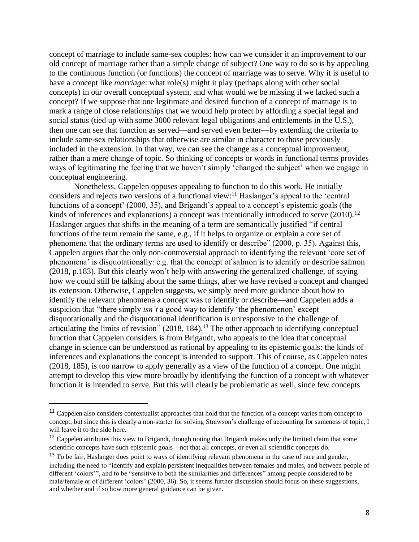concept of marriage to include same-sex couples: how can we consider it an improvement to our old concept of marriage rather than a simple change of subject? One way to do so is by appealing to the continuous function (or functions) the concept of marriage was to serve. Why it is useful to have a concept like *marriage*: what role(s) might it play (perhaps along with other social concepts) in our overall conceptual system, and what would we be missing if we lacked such a concept? If we suppose that one legitimate and desired function of a concept of marriage is to mark a range of close relationships that we would help protect by affording a special legal and social status (tied up with some 3000 relevant legal obligations and entitlements in the U.S.), then one can see that function as served—and served even better—by extending the criteria to include same-sex relationships that otherwise are similar in character to those previously included in the extension. In that way, we can see the change as a conceptual improvement, rather than a mere change of topic. So thinking of concepts or words in functional terms provides ways of legitimating the feeling that we haven't simply 'changed the subject' when we engage in conceptual engineering.

Nonetheless, Cappelen opposes appealing to function to do this work. He initially considers and rejects two versions of a functional view:<sup>11</sup> Haslanger's appeal to the 'central functions of a concept' (2000, 35), and Brigandt's appeal to a concept's epistemic goals (the kinds of inferences and explanations) a concept was intentionally introduced to serve  $(2010).<sup>12</sup>$ Haslanger argues that shifts in the meaning of a term are semantically justified "if central functions of the term remain the same, e.g., if it helps to organize or explain a core set of phenomena that the ordinary terms are used to identify or describe" (2000, p. 35). Against this, Cappelen argues that the only non-controversial approach to identifying the relevant 'core set of phenomena' is disquotationally: e.g. that the concept of salmon is to identify or describe salmon (2018, p.183). But this clearly won't help with answering the generalized challenge, of saying how we could still be talking about the same things, after we have revised a concept and changed its extension. Otherwise, Cappelen suggests, we simply need more guidance about how to identify the relevant phenomena a concept was to identify or describe—and Cappelen adds a suspicion that "there simply *isn't* a good way to identify 'the phenomenon' except disquotationally and the disquotational identification is unresponsive to the challenge of articulating the limits of revision" (2018, 184).<sup>13</sup> The other approach to identifying conceptual function that Cappelen considers is from Brigandt, who appeals to the idea that conceptual change in science can be understood as rational by appealing to its epistemic goals: the kinds of inferences and explanations the concept is intended to support. This of course, as Cappelen notes (2018, 185), is too narrow to apply generally as a view of the function of a concept. One might attempt to develop this view more broadly by identifying the function of a concept with whatever function it is intended to serve. But this will clearly be problematic as well, since few concepts

<sup>&</sup>lt;sup>11</sup> Cappelen also considers contextualist approaches that hold that the function of a concept varies from concept to concept, but since this is clearly a non-starter for solving Strawson's challenge of accounting for sameness of topic, I will leave it to the side here.

<sup>&</sup>lt;sup>12</sup> Cappelen attributes this view to Brigandt, though noting that Brigandt makes only the limited claim that some scientific concepts have such epistemic goals—not that all concepts, or even all scientific concepts do.

<sup>&</sup>lt;sup>13</sup> To be fair, Haslanger does point to ways of identifying relevant phenomena in the case of race and gender, including the need to "identify and explain persistent inequalities between females and males, and between people of different 'colors'", and to be "sensitive to both the similarities and differences" among people considered to be male/female or of different 'colors' (2000, 36). So, it seems further discussion should focus on these suggestions, and whether and if so how more general guidance can be given.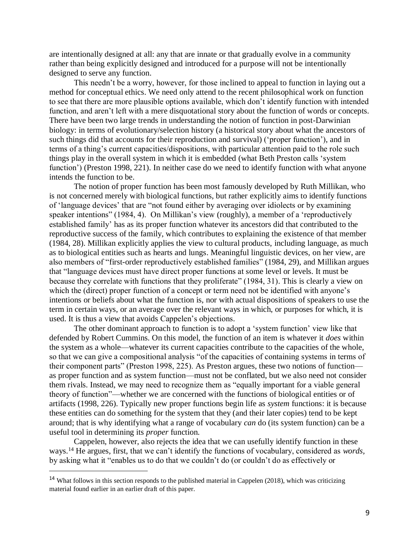are intentionally designed at all: any that are innate or that gradually evolve in a community rather than being explicitly designed and introduced for a purpose will not be intentionally designed to serve any function.

This needn't be a worry, however, for those inclined to appeal to function in laying out a method for conceptual ethics. We need only attend to the recent philosophical work on function to see that there are more plausible options available, which don't identify function with intended function, and aren't left with a mere disquotational story about the function of words or concepts. There have been two large trends in understanding the notion of function in post-Darwinian biology: in terms of evolutionary/selection history (a historical story about what the ancestors of such things did that accounts for their reproduction and survival) ('proper function'), and in terms of a thing's current capacities/dispositions, with particular attention paid to the role such things play in the overall system in which it is embedded (what Beth Preston calls 'system function') (Preston 1998, 221). In neither case do we need to identify function with what anyone intends the function to be.

The notion of proper function has been most famously developed by Ruth Millikan, who is not concerned merely with biological functions, but rather explicitly aims to identify functions of 'language devices' that are "not found either by averaging over idiolects or by examining speaker intentions" (1984, 4). On Millikan's view (roughly), a member of a 'reproductively established family' has as its proper function whatever its ancestors did that contributed to the reproductive success of the family, which contributes to explaining the existence of that member (1984, 28). Millikan explicitly applies the view to cultural products, including language, as much as to biological entities such as hearts and lungs. Meaningful linguistic devices, on her view, are also members of "first-order reproductively established families" (1984, 29), and Millikan argues that "language devices must have direct proper functions at some level or levels. It must be because they correlate with functions that they proliferate" (1984, 31). This is clearly a view on which the (direct) proper function of a concept or term need not be identified with anyone's intentions or beliefs about what the function is, nor with actual dispositions of speakers to use the term in certain ways, or an average over the relevant ways in which, or purposes for which, it is used. It is thus a view that avoids Cappelen's objections.

The other dominant approach to function is to adopt a 'system function' view like that defended by Robert Cummins. On this model, the function of an item is whatever it *does* within the system as a whole—whatever its current capacities contribute to the capacities of the whole, so that we can give a compositional analysis "of the capacities of containing systems in terms of their component parts" (Preston 1998, 225). As Preston argues, these two notions of function as proper function and as system function—must not be conflated, but we also need not consider them rivals. Instead, we may need to recognize them as "equally important for a viable general theory of function"—whether we are concerned with the functions of biological entities or of artifacts (1998, 226). Typically new proper functions begin life as *system* functions: it is because these entities can do something for the system that they (and their later copies) tend to be kept around; that is why identifying what a range of vocabulary *can* do (its system function) can be a useful tool in determining its *proper* function.

Cappelen, however, also rejects the idea that we can usefully identify function in these ways. <sup>14</sup> He argues, first, that we can't identify the functions of vocabulary, considered as *words,*  by asking what it "enables us to do that we couldn't do (or couldn't do as effectively or

<sup>14</sup> What follows in this section responds to the published material in Cappelen (2018), which was criticizing material found earlier in an earlier draft of this paper.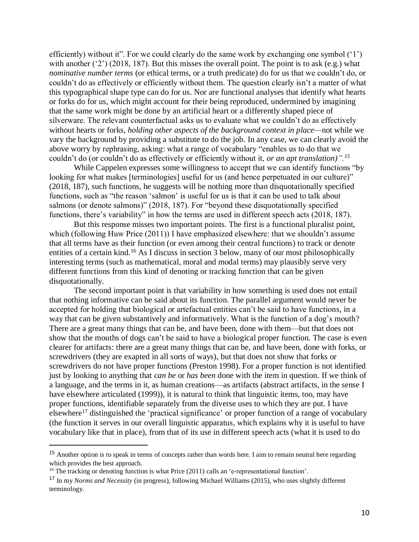efficiently) without it". For we could clearly do the same work by exchanging one symbol ('1') with another ('2') (2018, 187). But this misses the overall point. The point is to ask (e.g.) what *nominative number terms* (or ethical terms, or a truth predicate) do for us that we couldn't do, or couldn't do as effectively or efficiently without them. The question clearly isn't a matter of what this typographical shape type can do for us. Nor are functional analyses that identify what hearts or forks do for us, which might account for their being reproduced, undermined by imagining that the same work might be done by an artificial heart or a differently shaped piece of silverware. The relevant counterfactual asks us to evaluate what we couldn't do as effectively without hearts or forks, *holding other aspects of the background context in place—*not while we vary the background by providing a substitute to do the job. In any case, we can clearly avoid the above worry by rephrasing, asking: what a range of vocabulary "enables us to do that we couldn't do (or couldn't do as effectively or efficiently without it, *or an apt translation)".<sup>15</sup>*

While Cappelen expresses some willingness to accept that we can identify functions "by looking for what makes [terminologies] useful for us (and hence perpetuated in our culture)" (2018, 187), such functions, he suggests will be nothing more than disquotationally specified functions, such as "the reason 'salmon' is useful for us is that it can be used to talk about salmons (or denote salmons)" (2018, 187). For "beyond these disquotationally specified functions, there's variability" in how the terms are used in different speech acts (2018, 187).

But this response misses two important points. The first is a functional pluralist point, which (following Huw Price (2011)) I have emphasized elsewhere: that we shouldn't assume that all terms have as their function (or even among their central functions) to track or denote entities of a certain kind.<sup>16</sup> As I discuss in section 3 below, many of our most philosophically interesting terms (such as mathematical, moral and modal terms) may plausibly serve very different functions from this kind of denoting or tracking function that can be given disquotationally.

The second important point is that variability in how something is used does not entail that nothing informative can be said about its function. The parallel argument would never be accepted for holding that biological or artefactual entities can't be said to have functions, in a way that can be given substantively and informatively. What is the function of a dog's mouth? There are a great many things that can be, and have been, done with them—but that does not show that the mouths of dogs can't be said to have a biological proper function. The case is even clearer for artifacts: there are a great many things that can be, and have been, done with forks, or screwdrivers (they are exapted in all sorts of ways), but that does not show that forks or screwdrivers do not have proper functions (Preston 1998). For a proper function is not identified just by looking to anything that *can be* or *has been* done with the item in question. If we think of a language, and the terms in it, as human creations—as artifacts (abstract artifacts, in the sense I have elsewhere articulated (1999)), it is natural to think that linguistic items, too, may have proper functions, identifiable separately from the diverse uses to which they are put. I have elsewhere<sup>17</sup> distinguished the 'practical significance' or proper function of a range of vocabulary (the function it serves in our overall linguistic apparatus, which explains why it is useful to have vocabulary like that in place), from that of its use in different speech acts (what it is used to do

<sup>&</sup>lt;sup>15</sup> Another option is to speak in terms of concepts rather than words here. I aim to remain neutral here regarding which provides the best approach.

 $16$  The tracking or denoting function is what Price (2011) calls an 'e-representational function'.

<sup>17</sup> In my *Norms and Necessity* (in progress), following Michael Williams (2015), who uses slightly different terminology.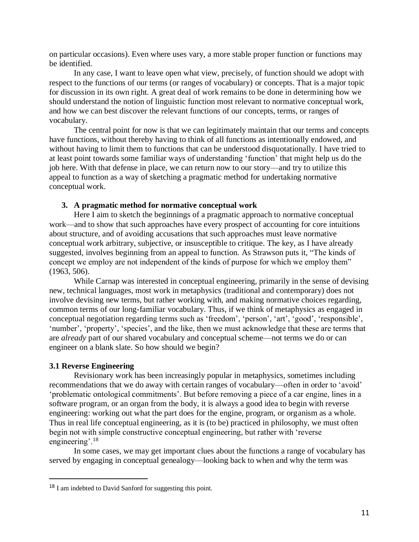on particular occasions). Even where uses vary, a more stable proper function or functions may be identified.

In any case, I want to leave open what view, precisely, of function should we adopt with respect to the functions of our terms (or ranges of vocabulary) or concepts. That is a major topic for discussion in its own right. A great deal of work remains to be done in determining how we should understand the notion of linguistic function most relevant to normative conceptual work, and how we can best discover the relevant functions of our concepts, terms, or ranges of vocabulary.

The central point for now is that we can legitimately maintain that our terms and concepts have functions, without thereby having to think of all functions as intentionally endowed, and without having to limit them to functions that can be understood disquotationally. I have tried to at least point towards some familiar ways of understanding 'function' that might help us do the job here. With that defense in place, we can return now to our story—and try to utilize this appeal to function as a way of sketching a pragmatic method for undertaking normative conceptual work.

# **3. A pragmatic method for normative conceptual work**

Here I aim to sketch the beginnings of a pragmatic approach to normative conceptual work—and to show that such approaches have every prospect of accounting for core intuitions about structure, and of avoiding accusations that such approaches must leave normative conceptual work arbitrary, subjective, or insusceptible to critique. The key, as I have already suggested, involves beginning from an appeal to function. As Strawson puts it, "The kinds of concept we employ are not independent of the kinds of purpose for which we employ them" (1963, 506).

While Carnap was interested in conceptual engineering, primarily in the sense of devising new, technical languages, most work in metaphysics (traditional and contemporary) does not involve devising new terms, but rather working with, and making normative choices regarding, common terms of our long-familiar vocabulary. Thus, if we think of metaphysics as engaged in conceptual negotiation regarding terms such as 'freedom', 'person', 'art', 'good', 'responsible', 'number', 'property', 'species', and the like, then we must acknowledge that these are terms that are *already* part of our shared vocabulary and conceptual scheme—not terms we do or can engineer on a blank slate. So how should we begin?

# **3.1 Reverse Engineering**

 $\overline{\phantom{a}}$ 

Revisionary work has been increasingly popular in metaphysics, sometimes including recommendations that we do away with certain ranges of vocabulary—often in order to 'avoid' 'problematic ontological commitments'. But before removing a piece of a car engine, lines in a software program, or an organ from the body, it is always a good idea to begin with reverse engineering: working out what the part does for the engine, program, or organism as a whole. Thus in real life conceptual engineering, as it is (to be) practiced in philosophy, we must often begin not with simple constructive conceptual engineering, but rather with 'reverse engineering'.<sup>18</sup>

In some cases, we may get important clues about the functions a range of vocabulary has served by engaging in conceptual genealogy—looking back to when and why the term was

<sup>18</sup> I am indebted to David Sanford for suggesting this point.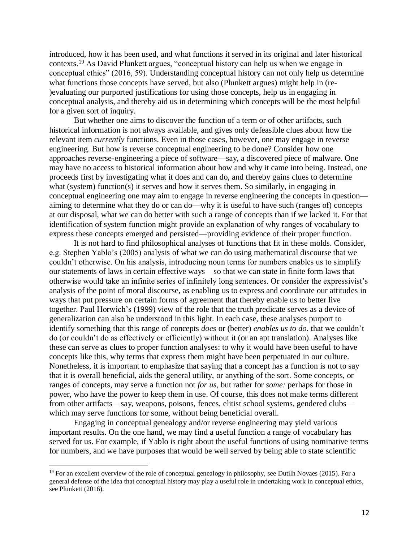introduced, how it has been used, and what functions it served in its original and later historical contexts.<sup>19</sup> As David Plunkett argues, "conceptual history can help us when we engage in conceptual ethics" (2016, 59). Understanding conceptual history can not only help us determine what functions those concepts have served, but also (Plunkett argues) might help in (re- )evaluating our purported justifications for using those concepts, help us in engaging in conceptual analysis, and thereby aid us in determining which concepts will be the most helpful for a given sort of inquiry.

But whether one aims to discover the function of a term or of other artifacts, such historical information is not always available, and gives only defeasible clues about how the relevant item *currently* functions. Even in those cases, however, one may engage in reverse engineering. But how is reverse conceptual engineering to be done? Consider how one approaches reverse-engineering a piece of software—say, a discovered piece of malware. One may have no access to historical information about how and why it came into being. Instead, one proceeds first by investigating what it does and can do, and thereby gains clues to determine what (system) function(s) it serves and how it serves them. So similarly, in engaging in conceptual engineering one may aim to engage in reverse engineering the concepts in question aiming to determine what they do or can do—why it is useful to have such (ranges of) concepts at our disposal, what we can do better with such a range of concepts than if we lacked it. For that identification of system function might provide an explanation of why ranges of vocabulary to express these concepts emerged and persisted—providing evidence of their proper function.

It is not hard to find philosophical analyses of functions that fit in these molds. Consider, e.g. Stephen Yablo's (2005) analysis of what we can do using mathematical discourse that we couldn't otherwise. On his analysis, introducing noun terms for numbers enables us to simplify our statements of laws in certain effective ways—so that we can state in finite form laws that otherwise would take an infinite series of infinitely long sentences. Or consider the expressivist's analysis of the point of moral discourse, as enabling us to express and coordinate our attitudes in ways that put pressure on certain forms of agreement that thereby enable us to better live together. Paul Horwich's (1999) view of the role that the truth predicate serves as a device of generalization can also be understood in this light. In each case, these analyses purport to identify something that this range of concepts *does* or (better) *enables us to do*, that we couldn't do (or couldn't do as effectively or efficiently) without it (or an apt translation). Analyses like these can serve as clues to proper function analyses: to why it would have been useful to have concepts like this, why terms that express them might have been perpetuated in our culture. Nonetheless, it is important to emphasize that saying that a concept has a function is not to say that it is overall beneficial, aids the general utility, or anything of the sort. Some concepts, or ranges of concepts, may serve a function not *for us,* but rather for *some:* perhaps for those in power, who have the power to keep them in use. Of course, this does not make terms different from other artifacts—say, weapons, poisons, fences, elitist school systems, gendered clubs which may serve functions for some, without being beneficial overall.

Engaging in conceptual genealogy and/or reverse engineering may yield various important results. On the one hand, we may find a useful function a range of vocabulary has served for us. For example, if Yablo is right about the useful functions of using nominative terms for numbers, and we have purposes that would be well served by being able to state scientific

 $19$  For an excellent overview of the role of conceptual genealogy in philosophy, see Dutilh Novaes (2015). For a general defense of the idea that conceptual history may play a useful role in undertaking work in conceptual ethics, see Plunkett (2016).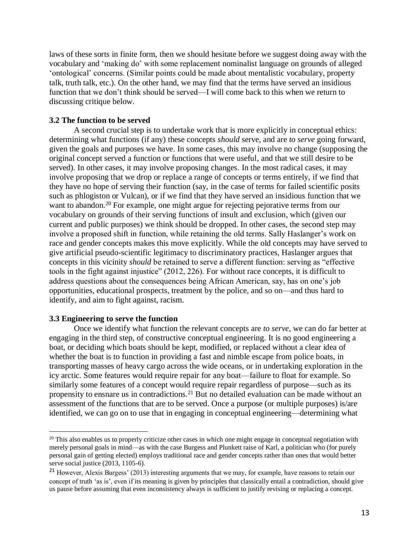laws of these sorts in finite form, then we should hesitate before we suggest doing away with the vocabulary and 'making do' with some replacement nominalist language on grounds of alleged 'ontological' concerns. (Similar points could be made about mentalistic vocabulary, property talk, truth talk, etc.). On the other hand, we may find that the terms have served an insidious function that we don't think should be served—I will come back to this when we return to discussing critique below.

### **3.2 The function to be served**

A second crucial step is to undertake work that is more explicitly in conceptual ethics: determining what functions (if any) these concepts *should* serve, and are *to serve* going forward, given the goals and purposes we have. In some cases, this may involve no change (supposing the original concept served a function or functions that were useful, and that we still desire to be served). In other cases, it may involve proposing changes. In the most radical cases, it may involve proposing that we drop or replace a range of concepts or terms entirely, if we find that they have no hope of serving their function (say, in the case of terms for failed scientific posits such as phlogiston or Vulcan), or if we find that they have served an insidious function that we want to abandon.<sup>20</sup> For example, one might argue for rejecting pejorative terms from our vocabulary on grounds of their serving functions of insult and exclusion, which (given our current and public purposes) we think should be dropped. In other cases, the second step may involve a proposed shift in function, while retaining the old terms. Sally Haslanger's work on race and gender concepts makes this move explicitly. While the old concepts may have served to give artificial pseudo-scientific legitimacy to discriminatory practices, Haslanger argues that concepts in this vicinity *should* be retained to serve a different function: serving as "effective tools in the fight against injustice" (2012, 226). For without race concepts, it is difficult to address questions about the consequences being African American, say, has on one's job opportunities, educational prospects, treatment by the police, and so on—and thus hard to identify, and aim to fight against, racism.

### **3.3 Engineering to serve the function**

 $\overline{\phantom{a}}$ 

Once we identify what function the relevant concepts are *to serve,* we can do far better at engaging in the third step, of constructive conceptual engineering. It is no good engineering a boat, or deciding which boats should be kept, modified, or replaced without a clear idea of whether the boat is to function in providing a fast and nimble escape from police boats, in transporting masses of heavy cargo across the wide oceans, or in undertaking exploration in the icy arctic. Some features would require repair for any boat—failure to float for example. So similarly some features of a concept would require repair regardless of purpose—such as its propensity to ensnare us in contradictions.<sup>21</sup> But no detailed evaluation can be made without an assessment of the functions that are to be served. Once a purpose (or multiple purposes) is/are identified, we can go on to use that in engaging in conceptual engineering—determining what

<sup>&</sup>lt;sup>20</sup> This also enables us to properly criticize other cases in which one might engage in conceptual negotiation with merely personal goals in mind—as with the case Burgess and Plunkett raise of Karl, a politician who (for purely personal gain of getting elected) employs traditional race and gender concepts rather than ones that would better serve social justice (2013, 1105-6).

<sup>&</sup>lt;sup>21</sup> However, Alexis Burgess' (2013) interesting arguments that we may, for example, have reasons to retain our concept of truth 'as is', even if its meaning is given by principles that classically entail a contradiction, should give us pause before assuming that even inconsistency always is sufficient to justify revising or replacing a concept.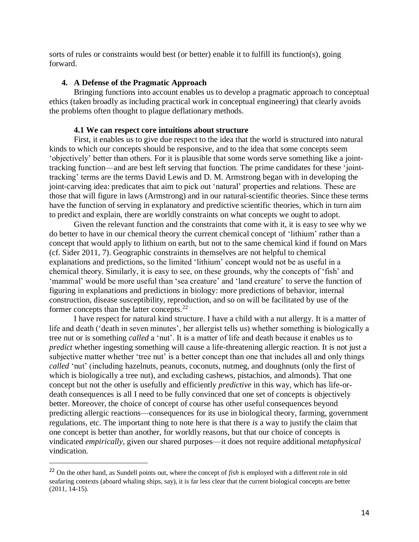sorts of rules or constraints would best (or better) enable it to fulfill its function(s), going forward.

# **4. A Defense of the Pragmatic Approach**

Bringing functions into account enables us to develop a pragmatic approach to conceptual ethics (taken broadly as including practical work in conceptual engineering) that clearly avoids the problems often thought to plague deflationary methods.

#### **4.1 We can respect core intuitions about structure**

First, it enables us to give due respect to the idea that the world is structured into natural kinds to which our concepts should be responsive, and to the idea that some concepts seem 'objectively' better than others. For it is plausible that some words serve something like a jointtracking function—and are best left serving that function. The prime candidates for these 'jointtracking' terms are the terms David Lewis and D. M. Armstrong began with in developing the joint-carving idea: predicates that aim to pick out 'natural' properties and relations. These are those that will figure in laws (Armstrong) and in our natural-scientific theories. Since these terms have the function of serving in explanatory and predictive scientific theories, which in turn aim to predict and explain, there are worldly constraints on what concepts we ought to adopt.

Given the relevant function and the constraints that come with it, it is easy to see why we do better to have in our chemical theory the current chemical concept of 'lithium' rather than a concept that would apply to lithium on earth, but not to the same chemical kind if found on Mars (cf. Sider 2011, 7). Geographic constraints in themselves are not helpful to chemical explanations and predictions, so the limited 'lithium' concept would not be as useful in a chemical theory. Similarly, it is easy to see, on these grounds, why the concepts of 'fish' and 'mammal' would be more useful than 'sea creature' and 'land creature' to serve the function of figuring in explanations and predictions in biology: more predictions of behavior, internal construction, disease susceptibility, reproduction, and so on will be facilitated by use of the former concepts than the latter concepts.<sup>22</sup>

I have respect for natural kind structure. I have a child with a nut allergy. It is a matter of life and death ('death in seven minutes', her allergist tells us) whether something is biologically a tree nut or is something *called* a 'nut'. It is a matter of life and death because it enables us to *predict* whether ingesting something will cause a life-threatening allergic reaction. It is not just a subjective matter whether 'tree nut' is a better concept than one that includes all and only things *called* 'nut' (including hazelnuts, peanuts, coconuts, nutmeg, and doughnuts (only the first of which is biologically a tree nut), and excluding cashews, pistachios, and almonds). That one concept but not the other is usefully and efficiently *predictive* in this way, which has life-ordeath consequences is all I need to be fully convinced that one set of concepts is objectively better. Moreover, the choice of concept of course has other useful consequences beyond predicting allergic reactions—consequences for its use in biological theory, farming, government regulations, etc. The important thing to note here is that there *is* a way to justify the claim that one concept is better than another, for worldly reasons, but that our choice of concepts is vindicated *empirically*, given our shared purposes—it does not require additional *metaphysical* vindication.

<sup>22</sup> On the other hand, as Sundell points out, where the concept of *fish* is employed with a different role in old seafaring contexts (aboard whaling ships, say), it is far less clear that the current biological concepts are better (2011, 14-15).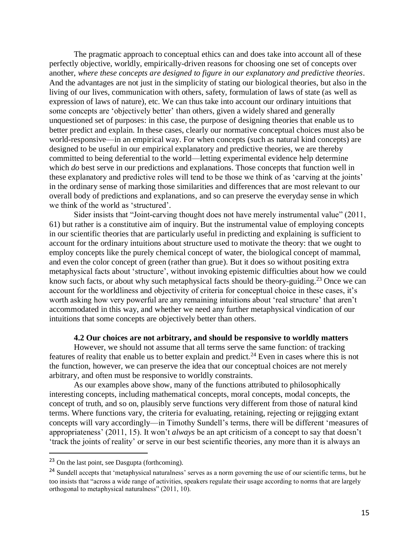The pragmatic approach to conceptual ethics can and does take into account all of these perfectly objective, worldly, empirically-driven reasons for choosing one set of concepts over another, *where these concepts are designed to figure in our explanatory and predictive theories*. And the advantages are not just in the simplicity of stating our biological theories, but also in the living of our lives, communication with others, safety, formulation of laws of state (as well as expression of laws of nature), etc. We can thus take into account our ordinary intuitions that some concepts are 'objectively better' than others, given a widely shared and generally unquestioned set of purposes: in this case, the purpose of designing theories that enable us to better predict and explain. In these cases, clearly our normative conceptual choices must also be world-responsive—in an empirical way. For when concepts (such as natural kind concepts) are designed to be useful in our empirical explanatory and predictive theories, we are thereby committed to being deferential to the world—letting experimental evidence help determine which *do* best serve in our predictions and explanations. Those concepts that function well in these explanatory and predictive roles will tend to be those we think of as 'carving at the joints' in the ordinary sense of marking those similarities and differences that are most relevant to our overall body of predictions and explanations, and so can preserve the everyday sense in which we think of the world as 'structured'.

Sider insists that "Joint-carving thought does not have merely instrumental value" (2011, 61) but rather is a constitutive aim of inquiry. But the instrumental value of employing concepts in our scientific theories that are particularly useful in predicting and explaining is sufficient to account for the ordinary intuitions about structure used to motivate the theory: that we ought to employ concepts like the purely chemical concept of water, the biological concept of mammal, and even the color concept of green (rather than grue). But it does so without positing extra metaphysical facts about 'structure', without invoking epistemic difficulties about how we could know such facts, or about why such metaphysical facts should be theory-guiding.<sup>23</sup> Once we can account for the worldliness and objectivity of criteria for conceptual choice in these cases, it's worth asking how very powerful are any remaining intuitions about 'real structure' that aren't accommodated in this way, and whether we need any further metaphysical vindication of our intuitions that some concepts are objectively better than others.

#### **4.2 Our choices are not arbitrary, and should be responsive to worldly matters**

However, we should not assume that all terms serve the same function: of tracking features of reality that enable us to better explain and predict.<sup>24</sup> Even in cases where this is not the function, however, we can preserve the idea that our conceptual choices are not merely arbitrary, and often must be responsive to worldly constraints.

As our examples above show, many of the functions attributed to philosophically interesting concepts, including mathematical concepts, moral concepts, modal concepts, the concept of truth, and so on, plausibly serve functions very different from those of natural kind terms. Where functions vary, the criteria for evaluating, retaining, rejecting or rejigging extant concepts will vary accordingly—in Timothy Sundell's terms, there will be different 'measures of appropriateness' (2011, 15). It won't *always* be an apt criticism of a concept to say that doesn't 'track the joints of reality' or serve in our best scientific theories, any more than it is always an

<sup>23</sup> On the last point, see Dasgupta (forthcoming).

<sup>&</sup>lt;sup>24</sup> Sundell accepts that 'metaphysical naturalness' serves as a norm governing the use of our scientific terms, but he too insists that "across a wide range of activities, speakers regulate their usage according to norms that are largely orthogonal to metaphysical naturalness" (2011, 10).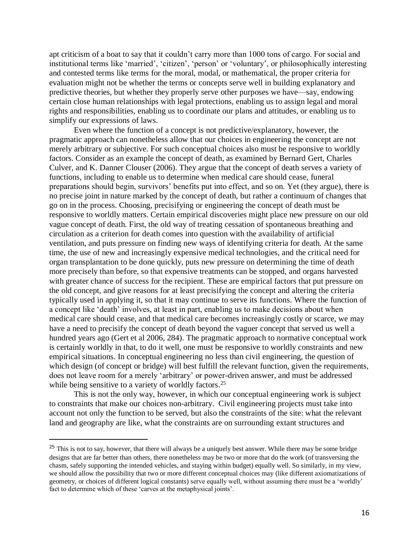apt criticism of a boat to say that it couldn't carry more than 1000 tons of cargo. For social and institutional terms like 'married', 'citizen', 'person' or 'voluntary', or philosophically interesting and contested terms like terms for the moral, modal, or mathematical, the proper criteria for evaluation might not be whether the terms or concepts serve well in building explanatory and predictive theories, but whether they properly serve other purposes we have—say, endowing certain close human relationships with legal protections, enabling us to assign legal and moral rights and responsibilities, enabling us to coordinate our plans and attitudes, or enabling us to simplify our expressions of laws.

Even where the function of a concept is not predictive/explanatory, however, the pragmatic approach can nonetheless allow that our choices in engineering the concept are not merely arbitrary or subjective. For such conceptual choices also must be responsive to worldly factors. Consider as an example the concept of death, as examined by Bernard Gert, Charles Culver, and K. Danner Clouser (2006). They argue that the concept of death serves a variety of functions, including to enable us to determine when medical care should cease, funeral preparations should begin, survivors' benefits put into effect, and so on. Yet (they argue), there is no precise joint in nature marked by the concept of death, but rather a continuum of changes that go on in the process. Choosing, precisifying or engineering the concept of death must be responsive to worldly matters. Certain empirical discoveries might place new pressure on our old vague concept of death. First, the old way of treating cessation of spontaneous breathing and circulation as a criterion for death comes into question with the availability of artificial ventilation, and puts pressure on finding new ways of identifying criteria for death. At the same time, the use of new and increasingly expensive medical technologies, and the critical need for organ transplantation to be done quickly, puts new pressure on determining the time of death more precisely than before, so that expensive treatments can be stopped, and organs harvested with greater chance of success for the recipient. These are empirical factors that put pressure on the old concept, and give reasons for at least precisifying the concept and altering the criteria typically used in applying it, so that it may continue to serve its functions. Where the function of a concept like 'death' involves, at least in part, enabling us to make decisions about when medical care should cease, and that medical care becomes increasingly costly or scarce, we may have a need to precisify the concept of death beyond the vaguer concept that served us well a hundred years ago (Gert et al 2006, 284). The pragmatic approach to normative conceptual work is certainly worldly in that, to do it well, one must be responsive to worldly constraints and new empirical situations. In conceptual engineering no less than civil engineering, the question of which design (of concept or bridge) will best fulfill the relevant function, given the requirements, does not leave room for a merely 'arbitrary' or power-driven answer, and must be addressed while being sensitive to a variety of worldly factors.<sup>25</sup>

This is not the only way, however, in which our conceptual engineering work is subject to constraints that make our choices non-arbitrary. Civil engineering projects must take into account not only the function to be served, but also the constraints of the site: what the relevant land and geography are like, what the constraints are on surrounding extant structures and

<sup>&</sup>lt;sup>25</sup> This is not to say, however, that there will always be a uniquely best answer. While there may be some bridge designs that are far better than others, there nonetheless may be two or more that do the work (of transversing the chasm, safely supporting the intended vehicles, and staying within budget) equally well. So similarly, in my view, we should allow the possibility that two or more different conceptual choices may (like different axiomatizations of geometry, or choices of different logical constants) serve equally well, without assuming there must be a 'worldly' fact to determine which of these 'carves at the metaphysical joints'.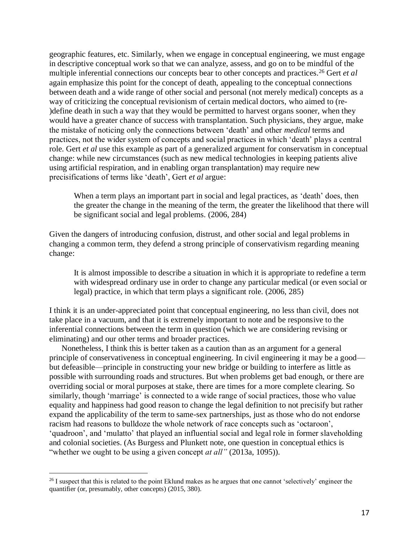geographic features, etc. Similarly, when we engage in conceptual engineering, we must engage in descriptive conceptual work so that we can analyze, assess, and go on to be mindful of the multiple inferential connections our concepts bear to other concepts and practices.<sup>26</sup> Gert *et al* again emphasize this point for the concept of death, appealing to the conceptual connections between death and a wide range of other social and personal (not merely medical) concepts as a way of criticizing the conceptual revisionism of certain medical doctors, who aimed to (re- )define death in such a way that they would be permitted to harvest organs sooner, when they would have a greater chance of success with transplantation. Such physicians, they argue, make the mistake of noticing only the connections between 'death' and other *medical* terms and practices, not the wider system of concepts and social practices in which 'death' plays a central role. Gert *et al* use this example as part of a generalized argument for conservatism in conceptual change: while new circumstances (such as new medical technologies in keeping patients alive using artificial respiration, and in enabling organ transplantation) may require new precisifications of terms like 'death', Gert *et al* argue:

When a term plays an important part in social and legal practices, as 'death' does, then the greater the change in the meaning of the term, the greater the likelihood that there will be significant social and legal problems. (2006, 284)

Given the dangers of introducing confusion, distrust, and other social and legal problems in changing a common term, they defend a strong principle of conservativism regarding meaning change:

It is almost impossible to describe a situation in which it is appropriate to redefine a term with widespread ordinary use in order to change any particular medical (or even social or legal) practice, in which that term plays a significant role. (2006, 285)

I think it is an under-appreciated point that conceptual engineering, no less than civil, does not take place in a vacuum, and that it is extremely important to note and be responsive to the inferential connections between the term in question (which we are considering revising or eliminating) and our other terms and broader practices.

Nonetheless, I think this is better taken as a caution than as an argument for a general principle of conservativeness in conceptual engineering. In civil engineering it may be a good but defeasible—principle in constructing your new bridge or building to interfere as little as possible with surrounding roads and structures. But when problems get bad enough, or there are overriding social or moral purposes at stake, there are times for a more complete clearing. So similarly, though 'marriage' is connected to a wide range of social practices, those who value equality and happiness had good reason to change the legal definition to not precisify but rather expand the applicability of the term to same-sex partnerships, just as those who do not endorse racism had reasons to bulldoze the whole network of race concepts such as 'octaroon', 'quadroon', and 'mulatto' that played an influential social and legal role in former slaveholding and colonial societies. (As Burgess and Plunkett note, one question in conceptual ethics is "whether we ought to be using a given concept *at all*" (2013a, 1095)).

<sup>&</sup>lt;sup>26</sup> I suspect that this is related to the point Eklund makes as he argues that one cannot 'selectively' engineer the quantifier (or, presumably, other concepts) (2015, 380).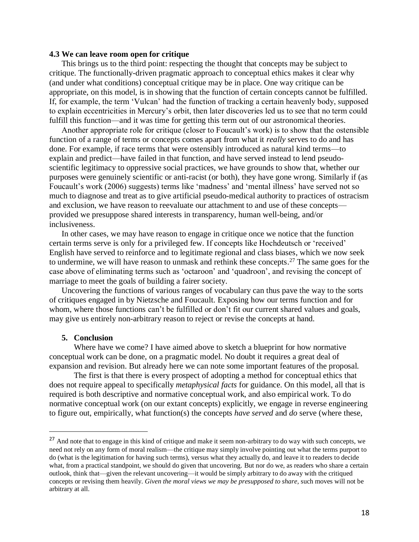### **4.3 We can leave room open for critique**

This brings us to the third point: respecting the thought that concepts may be subject to critique. The functionally-driven pragmatic approach to conceptual ethics makes it clear why (and under what conditions) conceptual critique may be in place. One way critique can be appropriate, on this model, is in showing that the function of certain concepts cannot be fulfilled. If, for example, the term 'Vulcan' had the function of tracking a certain heavenly body, supposed to explain eccentricities in Mercury's orbit, then later discoveries led us to see that no term could fulfill this function—and it was time for getting this term out of our astronomical theories.

Another appropriate role for critique (closer to Foucault's work) is to show that the ostensible function of a range of terms or concepts comes apart from what it *really* serves to do and has done. For example, if race terms that were ostensibly introduced as natural kind terms—to explain and predict—have failed in that function, and have served instead to lend pseudoscientific legitimacy to oppressive social practices, we have grounds to show that, whether our purposes were genuinely scientific or anti-racist (or both), they have gone wrong. Similarly if (as Foucault's work (2006) suggests) terms like 'madness' and 'mental illness' have served not so much to diagnose and treat as to give artificial pseudo-medical authority to practices of ostracism and exclusion, we have reason to reevaluate our attachment to and use of these concepts provided we presuppose shared interests in transparency, human well-being, and/or inclusiveness.

In other cases, we may have reason to engage in critique once we notice that the function certain terms serve is only for a privileged few. If concepts like Hochdeutsch or 'received' English have served to reinforce and to legitimate regional and class biases, which we now seek to undermine, we will have reason to unmask and rethink these concepts.<sup>27</sup> The same goes for the case above of eliminating terms such as 'octaroon' and 'quadroon', and revising the concept of marriage to meet the goals of building a fairer society.

Uncovering the functions of various ranges of vocabulary can thus pave the way to the sorts of critiques engaged in by Nietzsche and Foucault. Exposing how our terms function and for whom, where those functions can't be fulfilled or don't fit our current shared values and goals, may give us entirely non-arbitrary reason to reject or revise the concepts at hand.

#### **5. Conclusion**

 $\overline{\phantom{a}}$ 

Where have we come? I have aimed above to sketch a blueprint for how normative conceptual work can be done, on a pragmatic model. No doubt it requires a great deal of expansion and revision. But already here we can note some important features of the proposal.

The first is that there is every prospect of adopting a method for conceptual ethics that does not require appeal to specifically *metaphysical facts* for guidance. On this model, all that is required is both descriptive and normative conceptual work, and also empirical work. To do normative conceptual work (on our extant concepts) explicitly, we engage in reverse engineering to figure out, empirically, what function(s) the concepts *have served* and *do* serve (where these,

<sup>&</sup>lt;sup>27</sup> And note that to engage in this kind of critique and make it seem non-arbitrary to do way with such concepts, we need not rely on any form of moral realism—the critique may simply involve pointing out what the terms purport to do (what is the legitimation for having such terms), versus what they actually do, and leave it to readers to decide what, from a practical standpoint, we should do given that uncovering. But nor do we, as readers who share a certain outlook, think that—given the relevant uncovering—it would be simply arbitrary to do away with the critiqued concepts or revising them heavily. *Given the moral views we may be presupposed to share,* such moves will not be arbitrary at all.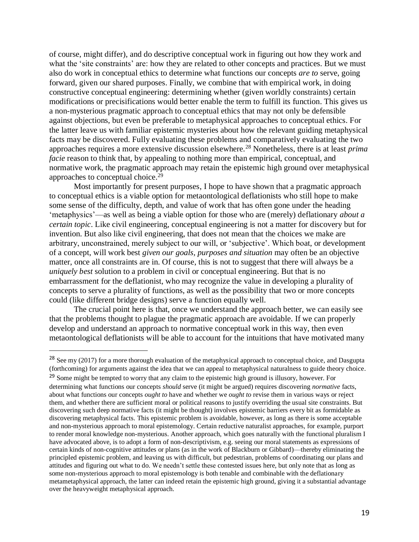of course, might differ), and do descriptive conceptual work in figuring out how they work and what the 'site constraints' are: how they are related to other concepts and practices. But we must also do work in conceptual ethics to determine what functions our concepts *are to* serve, going forward, given our shared purposes. Finally, we combine that with empirical work, in doing constructive conceptual engineering: determining whether (given worldly constraints) certain modifications or precisifications would better enable the term to fulfill its function. This gives us a non-mysterious pragmatic approach to conceptual ethics that may not only be defensible against objections, but even be preferable to metaphysical approaches to conceptual ethics. For the latter leave us with familiar epistemic mysteries about how the relevant guiding metaphysical facts may be discovered. Fully evaluating these problems and comparatively evaluating the two approaches requires a more extensive discussion elsewhere.<sup>28</sup> Nonetheless, there is at least *prima facie* reason to think that, by appealing to nothing more than empirical, conceptual, and normative work, the pragmatic approach may retain the epistemic high ground over metaphysical approaches to conceptual choice.<sup>29</sup>

Most importantly for present purposes, I hope to have shown that a pragmatic approach to conceptual ethics is a viable option for metaontological deflationists who still hope to make some sense of the difficulty, depth, and value of work that has often gone under the heading 'metaphysics'—as well as being a viable option for those who are (merely) deflationary *about a certain topic*. Like civil engineering, conceptual engineering is not a matter for discovery but for invention. But also like civil engineering, that does not mean that the choices we make are arbitrary, unconstrained, merely subject to our will, or 'subjective'. Which boat, or development of a concept, will work best *given our goals, purposes and situation* may often be an objective matter, once all constraints are in. Of course, this is not to suggest that there will always be a *uniquely best* solution to a problem in civil or conceptual engineering. But that is no embarrassment for the deflationist, who may recognize the value in developing a plurality of concepts to serve a plurality of functions, as well as the possibility that two or more concepts could (like different bridge designs) serve a function equally well.

The crucial point here is that, once we understand the approach better, we can easily see that the problems thought to plague the pragmatic approach are avoidable. If we can properly develop and understand an approach to normative conceptual work in this way, then even metaontological deflationists will be able to account for the intuitions that have motivated many

<sup>&</sup>lt;sup>28</sup> See my (2017) for a more thorough evaluation of the metaphysical approach to conceptual choice, and Dasgupta (forthcoming) for arguments against the idea that we can appeal to metaphysical naturalness to guide theory choice.

<sup>&</sup>lt;sup>29</sup> Some might be tempted to worry that any claim to the epistemic high ground is illusory, however. For determining what functions our concepts *should* serve (it might be argued) requires discovering *normative* facts, about what functions our concepts *ought to* have and whether we *ought to* revise them in various ways or reject them, and whether there are sufficient moral or political reasons to justify overriding the usual site constraints. But discovering such deep normative facts (it might be thought) involves epistemic barriers every bit as formidable as discovering metaphysical facts. This epistemic problem is avoidable, however, as long as there is some acceptable and non-mysterious approach to moral epistemology. Certain reductive naturalist approaches, for example, purport to render moral knowledge non-mysterious. Another approach, which goes naturally with the functional pluralism I have advocated above, is to adopt a form of non-descriptivism, e.g. seeing our moral statements as expressions of certain kinds of non-cognitive attitudes or plans (as in the work of Blackburn or Gibbard)—thereby eliminating the principled epistemic problem, and leaving us with difficult, but pedestrian, problems of coordinating our plans and attitudes and figuring out what to do. We needn't settle these contested issues here, but only note that as long as some non-mysterious approach to moral epistemology is both tenable and combinable with the deflationary metametaphysical approach, the latter can indeed retain the epistemic high ground, giving it a substantial advantage over the heavyweight metaphysical approach.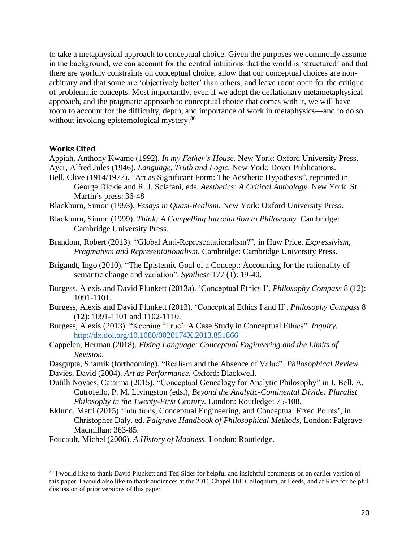to take a metaphysical approach to conceptual choice. Given the purposes we commonly assume in the background, we can account for the central intuitions that the world is 'structured' and that there are worldly constraints on conceptual choice, allow that our conceptual choices are nonarbitrary and that some are 'objectively better' than others, and leave room open for the critique of problematic concepts. Most importantly, even if we adopt the deflationary metametaphysical approach, and the pragmatic approach to conceptual choice that comes with it, we will have room to account for the difficulty, depth, and importance of work in metaphysics—and to do so without invoking epistemological mystery.<sup>30</sup>

# **Works Cited**

 $\overline{\phantom{a}}$ 

Appiah, Anthony Kwame (1992). *In my Father's House.* New York: Oxford University Press. Ayer, Alfred Jules (1946). *Language, Truth and Logic.* New York: Dover Publications. Bell, Clive (1914/1977). "Art as Significant Form: The Aesthetic Hypothesis", reprinted in

- George Dickie and R. J. Sclafani, eds. *Aesthetics: A Critical Anthology.* New York: St. Martin's press: 36-48
- Blackburn, Simon (1993). *Essays in Quasi-Realism.* New York: Oxford University Press.
- Blackburn, Simon (1999). *Think: A Compelling Introduction to Philosophy.* Cambridge: Cambridge University Press.
- Brandom, Robert (2013). "Global Anti-Representationalism?", in Huw Price, *Expressivism, Pragmatism and Representationalism.* Cambridge: Cambridge University Press.
- Brigandt, Ingo (2010). "The Epistemic Goal of a Concept: Accounting for the rationality of semantic change and variation". *Synthese* 177 (1): 19-40.
- Burgess, Alexis and David Plunkett (2013a). 'Conceptual Ethics I'. *Philosophy Compass* 8 (12): 1091-1101.
- Burgess, Alexis and David Plunkett (2013). 'Conceptual Ethics I and II'. *Philosophy Compass* 8 (12): 1091-1101 and 1102-1110.
- Burgess, Alexis (2013). "Keeping 'True': A Case Study in Conceptual Ethics". *Inquiry.* <http://dx.doi.org/10.1080/0020174X.2013.851866>
- Cappelen, Herman (2018). *Fixing Language: Conceptual Engineering and the Limits of Revision.*
- Dasgupta, Shamik (forthcoming). "Realism and the Absence of Value". *Philosophical Review.* Davies, David (2004). *Art as Performance.* Oxford: Blackwell.
- Dutilh Novaes, Catarina (2015). "Conceptual Genealogy for Analytic Philosophy" in J. Bell, A. Cutrofello, P. M. Livingston (eds.), *Beyond the Analytic-Continental Divide: Pluralist Philosophy in the Twenty-First Century.* London: Routledge: 75-108.
- Eklund, Matti (2015) 'Intuitions, Conceptual Engineering, and Conceptual Fixed Points', in Christopher Daly, ed. *Palgrave Handbook of Philosophical Methods,* London: Palgrave Macmillan: 363-85.

Foucault, Michel (2006). *A History of Madness*. London: Routledge.

<sup>&</sup>lt;sup>30</sup> I would like to thank David Plunkett and Ted Sider for helpful and insightful comments on an earlier version of this paper. I would also like to thank audiences at the 2016 Chapel Hill Colloquium, at Leeds, and at Rice for helpful discussion of prior versions of this paper.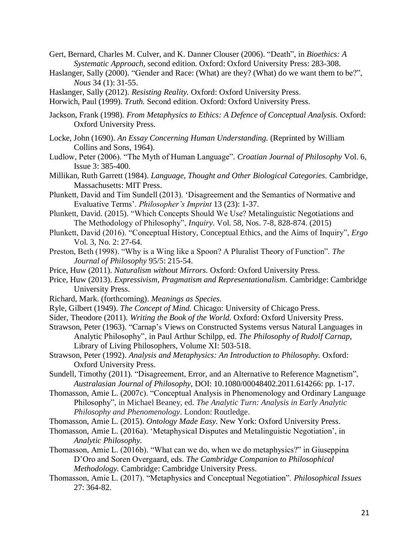- Gert, Bernard, Charles M. Culver, and K. Danner Clouser (2006). "Death", in *Bioethics: A Systematic Approach,* second edition. Oxford: Oxford University Press: 283-308.
- Haslanger, Sally (2000). "Gender and Race: (What) are they? (What) do we want them to be?", *Nous* 34 (1): 31-55.
- Haslanger, Sally (2012). *Resisting Reality.* Oxford: Oxford University Press.

Horwich, Paul (1999). *Truth.* Second edition. Oxford: Oxford University Press.

- Jackson, Frank (1998). *From Metaphysics to Ethics: A Defence of Conceptual Analysis.* Oxford: Oxford University Press.
- Locke, John (1690). *An Essay Concerning Human Understanding.* (Reprinted by William Collins and Sons, 1964).
- Ludlow, Peter (2006). "The Myth of Human Language". *Croatian Journal of Philosophy* Vol. 6, Issue 3: 385-400.
- Millikan, Ruth Garrett (1984). *Language, Thought and Other Biological Categories.* Cambridge, Massachusetts: MIT Press.
- Plunkett, David and Tim Sundell (2013). 'Disagreement and the Semantics of Normative and Evaluative Terms'. *Philosopher's Imprint* 13 (23): 1-37.
- Plunkett, David. (2015). "Which Concepts Should We Use? Metalinguistic Negotiations and The Methodology of Philosophy", *Inquiry*. Vol. 58, Nos. 7-8, 828-874. (2015)
- Plunkett, David (2016). "Conceptual History, Conceptual Ethics, and the Aims of Inquiry", *Ergo*  Vol. 3, No. 2: 27-64.
- Preston, Beth (1998). "Why is a Wing like a Spoon? A Pluralist Theory of Function". *The Journal of Philosophy* 95/5: 215-54.
- Price, Huw (2011). *Naturalism without Mirrors.* Oxford: Oxford University Press.
- Price, Huw (2013). *Expressivism, Pragmatism and Representationalism.* Cambridge: Cambridge University Press.
- Richard, Mark. (forthcoming). *Meanings as Species.*
- Ryle, Gilbert (1949). *The Concept of Mind.* Chicago: University of Chicago Press.
- Sider, Theodore (2011). *Writing the Book of the World.* Oxford: Oxford University Press.
- Strawson, Peter (1963). "Carnap's Views on Constructed Systems versus Natural Languages in Analytic Philosophy", in Paul Arthur Schilpp, ed. *The Philosophy of Rudolf Carnap,* Library of Living Philosophers, Volume XI: 503-518.
- Strawson, Peter (1992). *Analysis and Metaphysics: An Introduction to Philosophy.* Oxford: Oxford University Press.
- Sundell, Timothy (2011). "Disagreement, Error, and an Alternative to Reference Magnetism", *Australasian Journal of Philosophy*, DOI: 10.1080/00048402.2011.614266: pp. 1-17.
- Thomasson, Amie L. (2007c). "Conceptual Analysis in Phenomenology and Ordinary Language Philosophy", in Michael Beaney, ed. *The Analytic Turn: Analysis in Early Analytic Philosophy and Phenomenology*. London: Routledge.

Thomasson, Amie L. (2015). *Ontology Made Easy.* New York: Oxford University Press.

- Thomasson, Amie L. (2016a). 'Metaphysical Disputes and Metalinguistic Negotiation', in *Analytic Philosophy.*
- Thomasson, Amie L. (2016b). "What can we do, when we do metaphysics?" in Giuseppina D'Oro and Soren Overgaard, eds. *The Cambridge Companion to Philosophical Methodology.* Cambridge: Cambridge University Press.
- Thomasson, Amie L. (2017). "Metaphysics and Conceptual Negotiation". *Philosophical Issues*  27: 364-82.